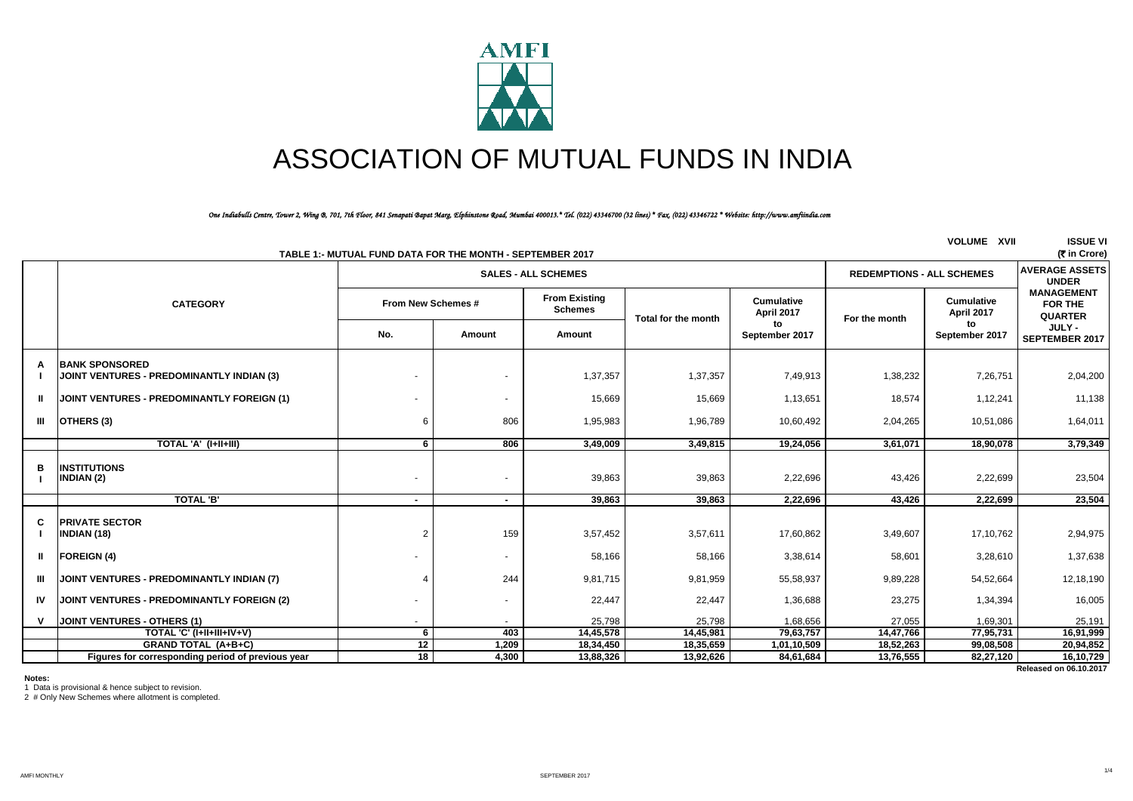

# ASSOCIATION OF MUTUAL FUNDS IN INDIA

## *One Indiabulls Centre, Tower 2, Wing B, 701, 7th Floor, 841 Senapati Bapat Marg, Elphinstone Road, Mumbai 400013.\* Tel. (022) 43346700 (32 lines) \* Fax. (022) 43346722 \* Website: http://www.amfiindia.com*

| <b>VOLUME XVII</b><br><b>ISSUE VI</b><br>(そin Crore)<br>TABLE 1:- MUTUAL FUND DATA FOR THE MONTH - SEPTEMBER 2017 |                                                                    |                                                                |                |                                        |                     |                                 |               |                          |                                                |
|-------------------------------------------------------------------------------------------------------------------|--------------------------------------------------------------------|----------------------------------------------------------------|----------------|----------------------------------------|---------------------|---------------------------------|---------------|--------------------------|------------------------------------------------|
|                                                                                                                   |                                                                    | <b>REDEMPTIONS - ALL SCHEMES</b><br><b>SALES - ALL SCHEMES</b> |                |                                        |                     |                                 |               |                          | <b>AVERAGE ASSETS</b><br><b>UNDER</b>          |
|                                                                                                                   | <b>CATEGORY</b>                                                    | From New Schemes #                                             |                | <b>From Existing</b><br><b>Schemes</b> | Total for the month | <b>Cumulative</b><br>April 2017 | For the month | Cumulative<br>April 2017 | <b>MANAGEMENT</b><br>FOR THE<br><b>QUARTER</b> |
|                                                                                                                   |                                                                    | No.                                                            | Amount         | Amount                                 |                     | to<br>September 2017            |               | to<br>September 2017     | JULY -<br><b>SEPTEMBER 2017</b>                |
|                                                                                                                   | <b>BANK SPONSORED</b><br>JOINT VENTURES - PREDOMINANTLY INDIAN (3) |                                                                |                | 1,37,357                               | 1,37,357            | 7,49,913                        | 1,38,232      | 7,26,751                 | 2,04,200                                       |
| $\mathbf{u}$                                                                                                      | JOINT VENTURES - PREDOMINANTLY FOREIGN (1)                         |                                                                |                | 15,669                                 | 15,669              | 1,13,651                        | 18,574        | 1,12,241                 | 11,138                                         |
|                                                                                                                   | III OTHERS (3)                                                     | 6                                                              | 806            | 1,95,983                               | 1,96,789            | 10,60,492                       | 2,04,265      | 10,51,086                | 1,64,011                                       |
|                                                                                                                   | TOTAL 'A' (I+II+III)                                               | 6                                                              | 806            | 3,49,009                               | 3,49,815            | 19,24,056                       | 3,61,071      | 18,90,078                | 3,79,349                                       |
| в                                                                                                                 | <b>INSTITUTIONS</b><br>INDIAN (2)                                  |                                                                |                | 39,863                                 | 39,863              | 2,22,696                        | 43,426        | 2,22,699                 | 23,504                                         |
|                                                                                                                   | <b>TOTAL 'B'</b>                                                   | ۰.                                                             | ۰.             | 39.863                                 | 39.863              | 2.22.696                        | 43.426        | 2,22,699                 | 23,504                                         |
| C                                                                                                                 | <b>PRIVATE SECTOR</b><br><b>INDIAN (18)</b>                        | $\overline{2}$                                                 | 159            | 3,57,452                               | 3,57,611            | 17,60,862                       | 3,49,607      | 17,10,762                | 2,94,975                                       |
| $\mathbf{u}$                                                                                                      | <b>FOREIGN</b> (4)                                                 |                                                                |                | 58,166                                 | 58,166              | 3,38,614                        | 58,601        | 3,28,610                 | 1,37,638                                       |
| III.                                                                                                              | JOINT VENTURES - PREDOMINANTLY INDIAN (7)                          |                                                                | 244            | 9,81,715                               | 9,81,959            | 55,58,937                       | 9,89,228      | 54,52,664                | 12,18,190                                      |
| IV                                                                                                                | JOINT VENTURES - PREDOMINANTLY FOREIGN (2)                         |                                                                | $\blacksquare$ | 22,447                                 | 22,447              | 1,36,688                        | 23,275        | 1,34,394                 | 16,005                                         |
| v                                                                                                                 | JOINT VENTURES - OTHERS (1)                                        |                                                                |                | 25,798                                 | 25,798              | 1,68,656                        | 27,055        | 1,69,301                 | 25,191                                         |
|                                                                                                                   | TOTAL 'C' (I+II+III+IV+V)                                          | 6                                                              | 403            | 14,45,578                              | 14,45,981           | 79,63,757                       | 14,47,766     | 77,95,731                | 16,91,999                                      |
|                                                                                                                   | <b>GRAND TOTAL (A+B+C)</b>                                         | 12                                                             | 1,209          | 18,34,450                              | 18,35,659           | 1,01,10,509                     | 18,52,263     | 99,08,508                | 20,94,852                                      |
|                                                                                                                   | Figures for corresponding period of previous year                  | 18                                                             | 4,300          | 13,88,326                              | 13,92,626           | 84,61,684                       | 13,76,555     | 82,27,120                | 16,10,729<br>Released on 06.10.2017            |
|                                                                                                                   |                                                                    |                                                                |                |                                        |                     |                                 |               |                          |                                                |

**Notes:**

1 Data is provisional & hence subject to revision.

2 # Only New Schemes where allotment is completed.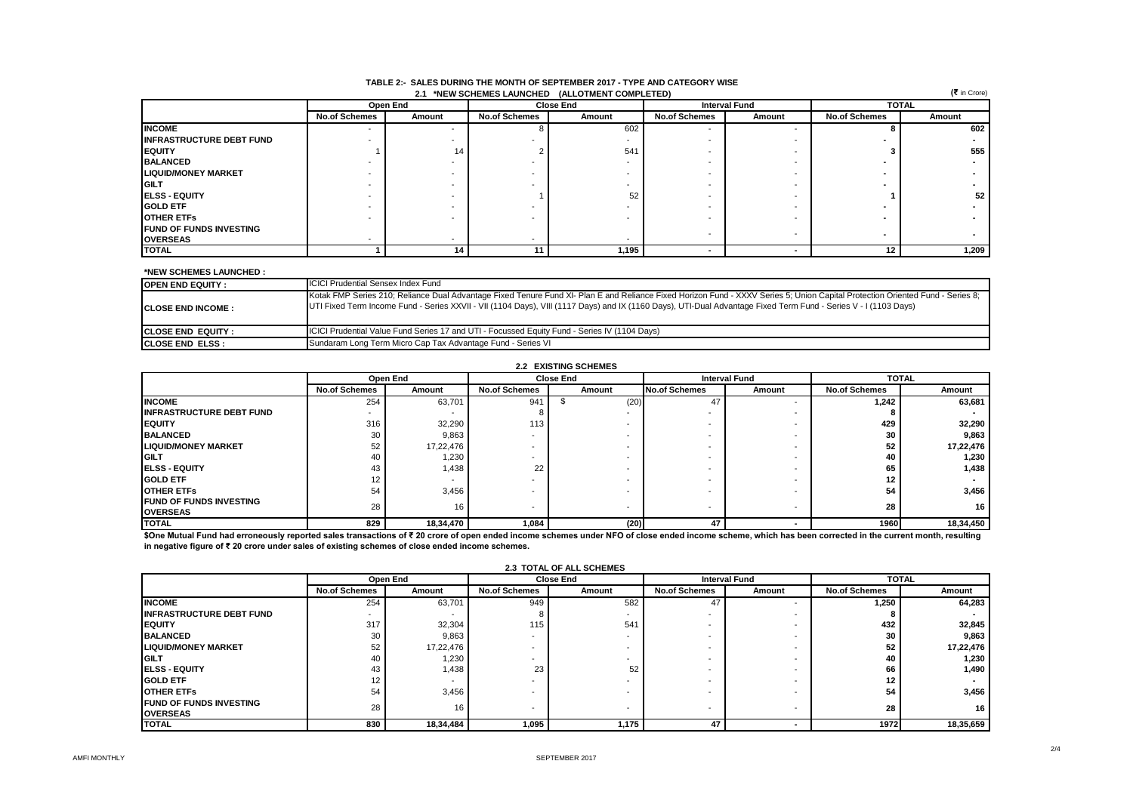|                                 | (₹ in Crore)<br>2.1 *NEW SCHEMES LAUNCHED (ALLOTMENT COMPLETED) |                          |                      |                  |                      |                      |                      |        |  |  |
|---------------------------------|-----------------------------------------------------------------|--------------------------|----------------------|------------------|----------------------|----------------------|----------------------|--------|--|--|
|                                 |                                                                 | Open End                 |                      | <b>Close End</b> |                      | <b>Interval Fund</b> | <b>TOTAL</b>         |        |  |  |
|                                 | <b>No.of Schemes</b>                                            | Amount                   | <b>No.of Schemes</b> | Amount           | <b>No.of Schemes</b> | Amount               | <b>No.of Schemes</b> | Amount |  |  |
| <b>INCOME</b>                   |                                                                 | $\overline{\phantom{a}}$ |                      | 602              |                      |                      |                      | 602    |  |  |
| <b>INFRASTRUCTURE DEBT FUND</b> |                                                                 |                          |                      |                  |                      |                      |                      |        |  |  |
| <b>IEQUITY</b>                  |                                                                 | 14                       |                      | 541              |                      |                      |                      | 555    |  |  |
| <b>BALANCED</b>                 |                                                                 |                          |                      |                  |                      |                      |                      |        |  |  |
| <b>LIQUID/MONEY MARKET</b>      |                                                                 |                          |                      |                  |                      |                      |                      |        |  |  |
| <b>GILT</b>                     |                                                                 |                          |                      |                  |                      |                      |                      |        |  |  |
| <b>IELSS - EQUITY</b>           |                                                                 |                          |                      | 52               |                      |                      |                      | 52     |  |  |
| <b>GOLD ETF</b>                 |                                                                 |                          |                      |                  |                      |                      |                      |        |  |  |
| <b>OTHER ETFS</b>               |                                                                 |                          |                      |                  |                      |                      |                      |        |  |  |
| <b>FUND OF FUNDS INVESTING</b>  |                                                                 |                          |                      |                  |                      |                      |                      |        |  |  |
| <b>OVERSEAS</b>                 |                                                                 |                          | . .                  |                  |                      |                      |                      |        |  |  |
| <b>TOTAL</b>                    |                                                                 | 14                       |                      | 1,195            |                      |                      | 12                   | 1,209  |  |  |

#### **TABLE 2:- SALES DURING THE MONTH OF SEPTEMBER 2017 - TYPE AND CATEGORY WISE 2.1 \*NEW SCHEMES LAUNCHED (ALLOTMENT COMPLETED)**

### **\*NEW SCHEMES LAUNCHED :**

| <b>OPEN END EQUITY:</b>    | <b>ICICI Prudential Sensex Index Fund</b>                                                                                                                                                                                                                                                                                                         |
|----------------------------|---------------------------------------------------------------------------------------------------------------------------------------------------------------------------------------------------------------------------------------------------------------------------------------------------------------------------------------------------|
| <b>ICLOSE END INCOME :</b> | Kotak FMP Series 210; Reliance Dual Advantage Fixed Tenure Fund XI- Plan E and Reliance Fixed Horizon Fund - XXXV Series 5; Union Capital Protection Oriented Fund - Series 8;<br>UTI Fixed Term Income Fund - Series XXVII - VII (1104 Days), VIII (1117 Days) and IX (1160 Days), UTI-Dual Advantage Fixed Term Fund - Series V - I (1103 Days) |
| <b>ICLOSE END EQUITY:</b>  | <b>ICICI Prudential Value Fund Series 17 and UTI - Focussed Equity Fund - Series IV (1104 Days)</b>                                                                                                                                                                                                                                               |
| <b>ICLOSE END ELSS :</b>   | Sundaram Long Term Micro Cap Tax Advantage Fund - Series VI                                                                                                                                                                                                                                                                                       |

#### **No.of Schemes No.of Schemes No.of Schemes No.of Schemes Amount INCOME** 254 63,701 941 \$ (20) 47 - **1,242 63,681 INFRASTRUCTURE DEBT FUND** - - 8 - - - **8 - EQUITY** 316 32,290 113 - - - **429 32,290** BALANCED | 30 | 9,863 | - | - | - | 30 | 9,863 **LIQUID/MONEY MARKET** 52 17,22,476 - - - - **52 17,22,476 GILT | 40 | 1,230 | - | - | - | 40 | 1,230 ELSS - EQUITY** 43 1,438 22 - - - **65 1,438 GOLD ETF** 12 - - - - - **12 - OTHER ETFs** 54 3,456 - - - - **54 3,456 FUND OF FUNDS INVESTING OVERSEAS** 28 16 - - - - **28 16** TOTAL 829 | 18,34,470 | 1,084 | (20)| 47 | - 1960| 18,34,450  **18,34,470 Amount 2.2 EXISTING SCHEMES TOTAL (20) Interval Fund Amount Open End Amount**

\$One Mutual Fund had erroneously reported sales transactions of ₹ 20 crore of open ended income schemes under NFO of close ended income scheme, which has been corrected in the current month, resulting **in negative figure of ₹ 20 crore under sales of existing schemes of close ended income schemes.** 

|                                  |                      | Open End<br><b>Interval Fund</b><br><b>Close End</b> |                      |        | <b>TOTAL</b>         |        |                      |           |
|----------------------------------|----------------------|------------------------------------------------------|----------------------|--------|----------------------|--------|----------------------|-----------|
|                                  | <b>No.of Schemes</b> | Amount                                               | <b>No.of Schemes</b> | Amount | <b>No.of Schemes</b> | Amount | <b>No.of Schemes</b> | Amount    |
| <b>INCOME</b>                    | 254                  | 63.701                                               | 949                  | 582    | 47                   |        | 1,250                | 64,283    |
| <b>IINFRASTRUCTURE DEBT FUND</b> | -                    |                                                      |                      |        |                      |        |                      |           |
| <b>EQUITY</b>                    | 317                  | 32,304                                               | 115                  | 541    |                      |        | 432                  | 32,845    |
| <b>BALANCED</b>                  | 30                   | 9,863                                                |                      |        |                      |        | 30                   | 9,863     |
| <b>LIQUID/MONEY MARKET</b>       | 52                   | 17,22,476                                            |                      |        |                      |        | 52                   | 17,22,476 |
| <b>GILT</b>                      | 40                   | 1,230                                                |                      |        |                      |        | 40                   | 1,230     |
| <b>ELSS - EQUITY</b>             | 43                   | 1,438                                                | 23                   | 52     |                      |        | 66                   | 1,490     |
| <b>GOLD ETF</b>                  | 12                   | $\overline{\phantom{a}}$                             |                      |        |                      |        | 12 <sub>1</sub>      |           |
| <b>OTHER ETFS</b>                | 54                   | 3,456                                                |                      |        |                      |        | 54                   | 3,456     |
| <b>FUND OF FUNDS INVESTING</b>   | 28                   | 16                                                   | . .                  |        |                      |        | 28                   | 16        |
| <b>OVERSEAS</b>                  |                      |                                                      |                      |        |                      |        |                      |           |
| <b>TOTAL</b>                     | 830                  | 18,34,484                                            | 1,095                | 1,175  | 47                   |        | 1972                 | 18,35,659 |

## **2.3 TOTAL OF ALL SCHEMES**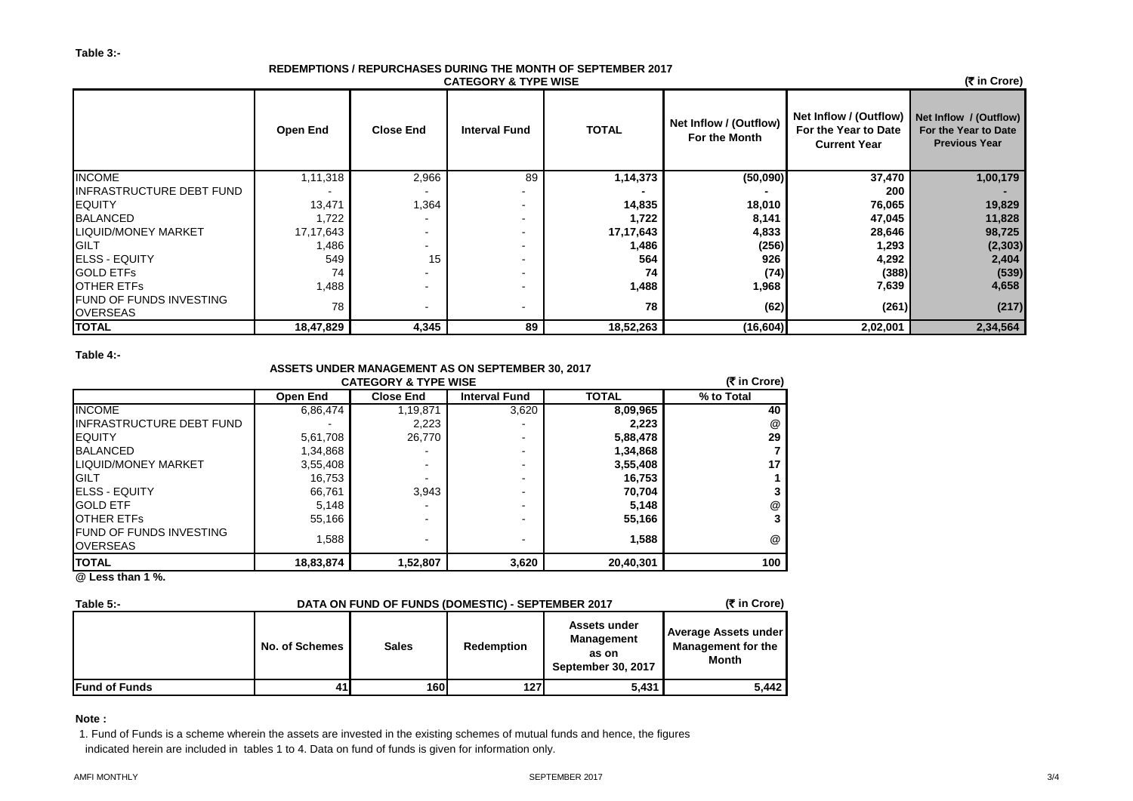# **REDEMPTIONS / REPURCHASES DURING THE MONTH OF SEPTEMBER 2017 CATEGORY & TYPE WISE**

 **(**` **in Crore)**

|                                                   | <b>Open End</b> | <b>Close End</b> | <b>Interval Fund</b> | <b>TOTAL</b> | Net Inflow / (Outflow)<br>For the Month | Net Inflow / (Outflow) Net Inflow / (Outflow)<br>For the Year to Date<br><b>Current Year</b> | For the Year to Date<br><b>Previous Year</b> |
|---------------------------------------------------|-----------------|------------------|----------------------|--------------|-----------------------------------------|----------------------------------------------------------------------------------------------|----------------------------------------------|
| <b>INCOME</b>                                     | 1,11,318        | 2,966            | 89                   | 1,14,373     | (50,090)                                | 37,470                                                                                       | 1,00,179                                     |
| INFRASTRUCTURE DEBT FUND                          |                 |                  |                      |              |                                         | 200                                                                                          |                                              |
| <b>EQUITY</b>                                     | 13,471          | 1,364            |                      | 14,835       | 18,010                                  | 76,065                                                                                       | 19,829                                       |
| <b>BALANCED</b>                                   | 1,722           |                  |                      | 1,722        | 8,141                                   | 47,045                                                                                       | 11,828                                       |
| <b>LIQUID/MONEY MARKET</b>                        | 17,17,643       |                  |                      | 17,17,643    | 4,833                                   | 28,646                                                                                       | 98,725                                       |
| <b>GILT</b>                                       | .486            |                  |                      | 1,486        | (256)                                   | 1,293                                                                                        | (2, 303)                                     |
| <b>ELSS - EQUITY</b>                              | 549             | 15               |                      | 564          | 926                                     | 4,292                                                                                        | 2,404                                        |
| <b>GOLD ETFS</b>                                  | 74              |                  |                      | 74           | (74)                                    | (388)                                                                                        | (539)                                        |
| <b>OTHER ETFS</b>                                 | 1,488           |                  |                      | 1,488        | 1,968                                   | 7,639                                                                                        | 4,658                                        |
| <b>FUND OF FUNDS INVESTING</b><br><b>OVERSEAS</b> | 78              |                  |                      | 78           | (62)                                    | (261)                                                                                        | (217)                                        |
| <b>TOTAL</b>                                      | 18,47,829       | 4,345            | 89                   | 18,52,263    | (16, 604)                               | 2,02,001                                                                                     | 2,34,564                                     |

**Table 4:-**

# **ASSETS UNDER MANAGEMENT AS ON SEPTEMBER 30, 2017**

| <b>TOTAL</b><br>% to Total<br><b>Interval Fund</b><br><b>Open End</b><br><b>Close End</b><br>6,86,474<br>8,09,965<br>3,620<br>1,19,871<br>2,223<br>2.223<br>5,61,708<br>26,770<br>5,88,478<br>-<br>1,34,868<br>1,34,868<br>$\overline{\phantom{0}}$<br>3,55,408<br>3,55,408<br>$\overline{\phantom{0}}$<br>$\blacksquare$<br>16,753<br>16,753<br>-<br>3,943<br>66,761<br>70,704<br>-<br>5,148<br>5,148<br>-<br>55,166<br>55,166<br>-<br>1.588<br>1.588<br>$\blacksquare$<br>- | <b>CATEGORY &amp; TYPE WISE</b>                   |           |          |       |           |     |  |  |
|-------------------------------------------------------------------------------------------------------------------------------------------------------------------------------------------------------------------------------------------------------------------------------------------------------------------------------------------------------------------------------------------------------------------------------------------------------------------------------|---------------------------------------------------|-----------|----------|-------|-----------|-----|--|--|
|                                                                                                                                                                                                                                                                                                                                                                                                                                                                               |                                                   |           |          |       |           |     |  |  |
|                                                                                                                                                                                                                                                                                                                                                                                                                                                                               | <b>INCOME</b>                                     |           |          |       |           | 40  |  |  |
|                                                                                                                                                                                                                                                                                                                                                                                                                                                                               | <b>INFRASTRUCTURE DEBT FUND</b>                   |           |          |       |           | @   |  |  |
|                                                                                                                                                                                                                                                                                                                                                                                                                                                                               | <b>IEQUITY</b>                                    |           |          |       |           | 29  |  |  |
|                                                                                                                                                                                                                                                                                                                                                                                                                                                                               | <b>BALANCED</b>                                   |           |          |       |           |     |  |  |
|                                                                                                                                                                                                                                                                                                                                                                                                                                                                               | <b>LIQUID/MONEY MARKET</b>                        |           |          |       |           | 17  |  |  |
|                                                                                                                                                                                                                                                                                                                                                                                                                                                                               | <b>IGILT</b>                                      |           |          |       |           |     |  |  |
|                                                                                                                                                                                                                                                                                                                                                                                                                                                                               | <b>IELSS - EQUITY</b>                             |           |          |       |           |     |  |  |
|                                                                                                                                                                                                                                                                                                                                                                                                                                                                               | <b>IGOLD ETF</b>                                  |           |          |       |           | @   |  |  |
|                                                                                                                                                                                                                                                                                                                                                                                                                                                                               | <b>IOTHER ETFS</b>                                |           |          |       |           | 3   |  |  |
|                                                                                                                                                                                                                                                                                                                                                                                                                                                                               | <b>FUND OF FUNDS INVESTING</b><br><b>OVERSEAS</b> |           |          |       |           | @   |  |  |
|                                                                                                                                                                                                                                                                                                                                                                                                                                                                               | <b>TOTAL</b><br>$21 - 11 - 11 - 11$               | 18,83,874 | 1,52,807 | 3,620 | 20,40,301 | 100 |  |  |

**@ Less than 1 %.**

| Table 5:-             | DATA ON FUND OF FUNDS (DOMESTIC) - SEPTEMBER 2017 | (₹ in Crore) |            |                                                                  |                                                                   |
|-----------------------|---------------------------------------------------|--------------|------------|------------------------------------------------------------------|-------------------------------------------------------------------|
|                       | No. of Schemes                                    | <b>Sales</b> | Redemption | Assets under<br><b>Management</b><br>as on<br>September 30, 2017 | <b>Average Assets under</b><br><b>Management for the</b><br>Month |
| <b>IFund of Funds</b> | 41                                                | <b>160</b>   | 1271       | 5.431                                                            | 5.442                                                             |

**Note :**

1. Fund of Funds is a scheme wherein the assets are invested in the existing schemes of mutual funds and hence, the figures indicated herein are included in tables 1 to 4. Data on fund of funds is given for information only.